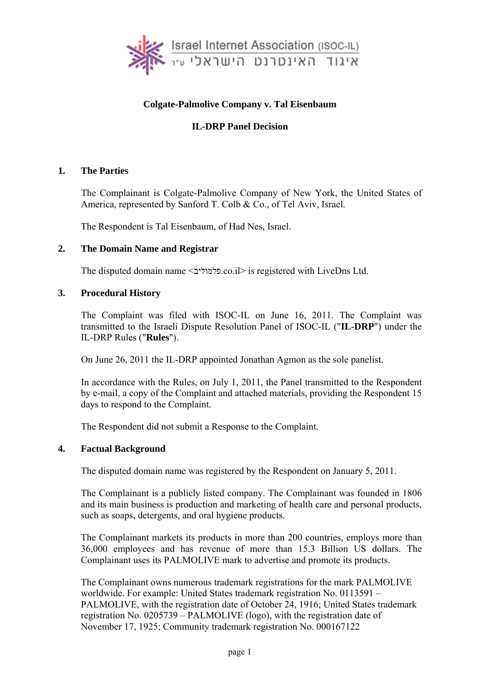

# **Colgate-Palmolive Company v. Tal Eisenbaum**

# **IL-DRP Panel Decision**

### **1. The Parties**

The Complainant is Colgate-Palmolive Company of New York, the United States of America, represented by Sanford T. Colb & Co., of Tel Aviv, Israel.

The Respondent is Tal Eisenbaum, of Had Nes, Israel.

#### **2. The Domain Name and Registrar**

The disputed domain name <פלמוליב.co.il> is registered with LiveDns Ltd.

### **3. Procedural History**

The Complaint was filed with ISOC-IL on June 16, 2011. The Complaint was transmitted to the Israeli Dispute Resolution Panel of ISOC-IL ("**IL-DRP**") under the IL-DRP Rules ("**Rules**").

On June 26, 2011 the IL-DRP appointed Jonathan Agmon as the sole panelist.

In accordance with the Rules, on July 1, 2011, the Panel transmitted to the Respondent by e-mail, a copy of the Complaint and attached materials, providing the Respondent 15 days to respond to the Complaint.

The Respondent did not submit a Response to the Complaint.

#### **4. Factual Background**

The disputed domain name was registered by the Respondent on January 5, 2011.

The Complainant is a publicly listed company. The Complainant was founded in 1806 and its main business is production and marketing of health care and personal products, such as soaps, detergents, and oral hygiene products.

The Complainant markets its products in more than 200 countries, employs more than 36,000 employees and has revenue of more than 15.3 Billion US dollars. The Complainant uses its PALMOLIVE mark to advertise and promote its products.

The Complainant owns numerous trademark registrations for the mark PALMOLIVE worldwide. For example: United States trademark registration No. 0113591 – PALMOLIVE, with the registration date of October 24, 1916; United States trademark registration No. 0205739 – PALMOLIVE (logo), with the registration date of November 17, 1925; Community trademark registration No. 000167122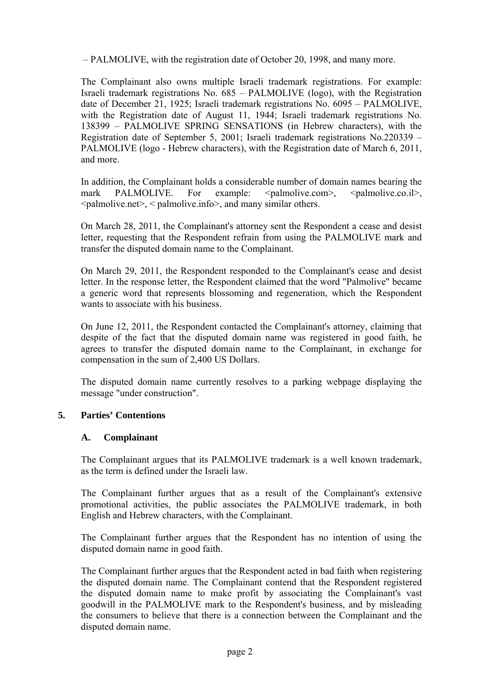– PALMOLIVE, with the registration date of October 20, 1998, and many more.

The Complainant also owns multiple Israeli trademark registrations. For example: Israeli trademark registrations No. 685 – PALMOLIVE (logo), with the Registration date of December 21, 1925; Israeli trademark registrations No. 6095 – PALMOLIVE, with the Registration date of August 11, 1944; Israeli trademark registrations No. 138399 – PALMOLIVE SPRING SENSATIONS (in Hebrew characters), with the Registration date of September 5, 2001; Israeli trademark registrations No.220339 – PALMOLIVE (logo - Hebrew characters), with the Registration date of March 6, 2011, and more.

In addition, the Complainant holds a considerable number of domain names bearing the mark PALMOLIVE. For example:  $\langle \text{palmolive.com} \rangle$ ,  $\langle \text{palmolive.co.} \text{i} \rangle$ , <palmolive.net>, < palmolive.info>, and many similar others.

On March 28, 2011, the Complainant's attorney sent the Respondent a cease and desist letter, requesting that the Respondent refrain from using the PALMOLIVE mark and transfer the disputed domain name to the Complainant.

On March 29, 2011, the Respondent responded to the Complainant's cease and desist letter. In the response letter, the Respondent claimed that the word "Palmolive" became a generic word that represents blossoming and regeneration, which the Respondent wants to associate with his business.

On June 12, 2011, the Respondent contacted the Complainant's attorney, claiming that despite of the fact that the disputed domain name was registered in good faith, he agrees to transfer the disputed domain name to the Complainant, in exchange for compensation in the sum of 2,400 US Dollars.

The disputed domain name currently resolves to a parking webpage displaying the message "under construction".

#### **5. Parties' Contentions**

#### **A. Complainant**

The Complainant argues that its PALMOLIVE trademark is a well known trademark, as the term is defined under the Israeli law.

The Complainant further argues that as a result of the Complainant's extensive promotional activities, the public associates the PALMOLIVE trademark, in both English and Hebrew characters, with the Complainant.

The Complainant further argues that the Respondent has no intention of using the disputed domain name in good faith.

The Complainant further argues that the Respondent acted in bad faith when registering the disputed domain name. The Complainant contend that the Respondent registered the disputed domain name to make profit by associating the Complainant's vast goodwill in the PALMOLIVE mark to the Respondent's business, and by misleading the consumers to believe that there is a connection between the Complainant and the disputed domain name.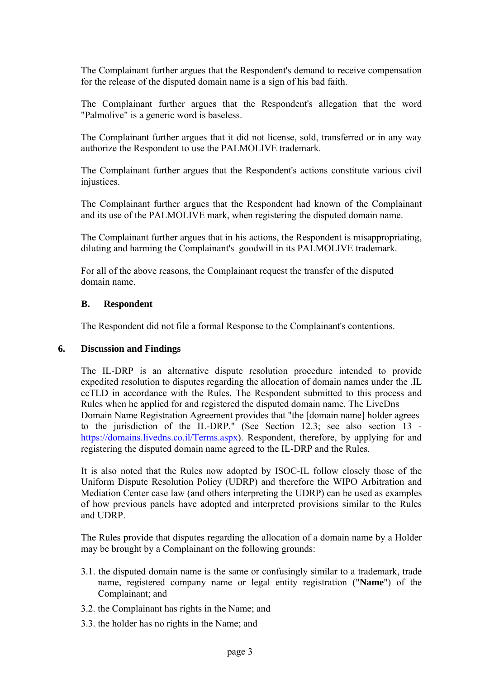The Complainant further argues that the Respondent's demand to receive compensation for the release of the disputed domain name is a sign of his bad faith.

The Complainant further argues that the Respondent's allegation that the word "Palmolive" is a generic word is baseless.

The Complainant further argues that it did not license, sold, transferred or in any way authorize the Respondent to use the PALMOLIVE trademark.

The Complainant further argues that the Respondent's actions constitute various civil injustices.

The Complainant further argues that the Respondent had known of the Complainant and its use of the PALMOLIVE mark, when registering the disputed domain name.

The Complainant further argues that in his actions, the Respondent is misappropriating, diluting and harming the Complainant's goodwill in its PALMOLIVE trademark.

For all of the above reasons, the Complainant request the transfer of the disputed domain name.

### **B. Respondent**

The Respondent did not file a formal Response to the Complainant's contentions.

#### **6. Discussion and Findings**

The IL-DRP is an alternative dispute resolution procedure intended to provide expedited resolution to disputes regarding the allocation of domain names under the .IL ccTLD in accordance with the Rules. The Respondent submitted to this process and Rules when he applied for and registered the disputed domain name. The LiveDns Domain Name Registration Agreement provides that "the [domain name] holder agrees to the jurisdiction of the IL-DRP." (See Section 12.3; see also section 13 https://domains.livedns.co.il/Terms.aspx). Respondent, therefore, by applying for and registering the disputed domain name agreed to the IL-DRP and the Rules.

It is also noted that the Rules now adopted by ISOC-IL follow closely those of the Uniform Dispute Resolution Policy (UDRP) and therefore the WIPO Arbitration and Mediation Center case law (and others interpreting the UDRP) can be used as examples of how previous panels have adopted and interpreted provisions similar to the Rules and UDRP.

The Rules provide that disputes regarding the allocation of a domain name by a Holder may be brought by a Complainant on the following grounds:

- 3.1. the disputed domain name is the same or confusingly similar to a trademark, trade name, registered company name or legal entity registration ("**Name**") of the Complainant; and
- 3.2. the Complainant has rights in the Name; and
- 3.3. the holder has no rights in the Name; and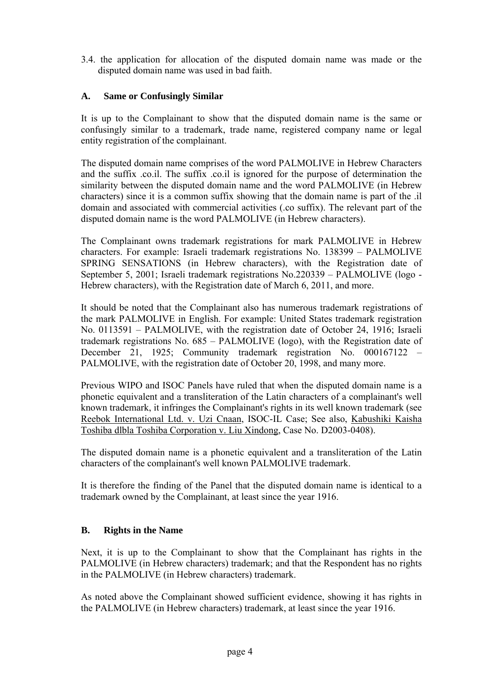3.4. the application for allocation of the disputed domain name was made or the disputed domain name was used in bad faith.

# **A. Same or Confusingly Similar**

It is up to the Complainant to show that the disputed domain name is the same or confusingly similar to a trademark, trade name, registered company name or legal entity registration of the complainant.

The disputed domain name comprises of the word PALMOLIVE in Hebrew Characters and the suffix .co.il. The suffix .co.il is ignored for the purpose of determination the similarity between the disputed domain name and the word PALMOLIVE (in Hebrew characters) since it is a common suffix showing that the domain name is part of the .il domain and associated with commercial activities (.co suffix). The relevant part of the disputed domain name is the word PALMOLIVE (in Hebrew characters).

The Complainant owns trademark registrations for mark PALMOLIVE in Hebrew characters. For example: Israeli trademark registrations No. 138399 – PALMOLIVE SPRING SENSATIONS (in Hebrew characters), with the Registration date of September 5, 2001; Israeli trademark registrations No.220339 – PALMOLIVE (logo - Hebrew characters), with the Registration date of March 6, 2011, and more.

It should be noted that the Complainant also has numerous trademark registrations of the mark PALMOLIVE in English. For example: United States trademark registration No. 0113591 – PALMOLIVE, with the registration date of October 24, 1916; Israeli trademark registrations No. 685 – PALMOLIVE (logo), with the Registration date of December 21, 1925; Community trademark registration No. 000167122 – PALMOLIVE, with the registration date of October 20, 1998, and many more.

Previous WIPO and ISOC Panels have ruled that when the disputed domain name is a phonetic equivalent and a transliteration of the Latin characters of a complainant's well known trademark, it infringes the Complainant's rights in its well known trademark (see Reebok International Ltd. v. Uzi Cnaan, ISOC-IL Case; See also, Kabushiki Kaisha Toshiba dlbla Toshiba Corporation v. Liu Xindong, Case No. D2003-0408).

The disputed domain name is a phonetic equivalent and a transliteration of the Latin characters of the complainant's well known PALMOLIVE trademark.

It is therefore the finding of the Panel that the disputed domain name is identical to a trademark owned by the Complainant, at least since the year 1916.

## **B. Rights in the Name**

Next, it is up to the Complainant to show that the Complainant has rights in the PALMOLIVE (in Hebrew characters) trademark; and that the Respondent has no rights in the PALMOLIVE (in Hebrew characters) trademark.

As noted above the Complainant showed sufficient evidence, showing it has rights in the PALMOLIVE (in Hebrew characters) trademark, at least since the year 1916.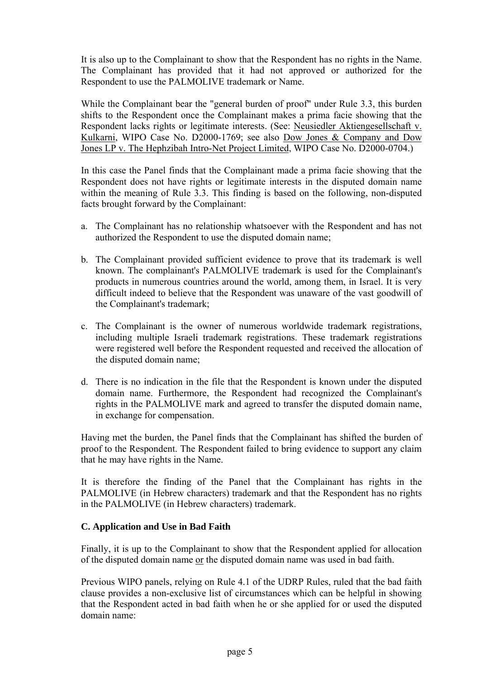It is also up to the Complainant to show that the Respondent has no rights in the Name. The Complainant has provided that it had not approved or authorized for the Respondent to use the PALMOLIVE trademark or Name.

While the Complainant bear the "general burden of proof" under Rule 3.3, this burden shifts to the Respondent once the Complainant makes a prima facie showing that the Respondent lacks rights or legitimate interests. (See: Neusiedler Aktiengesellschaft v. Kulkarni, WIPO Case No. D2000-1769; see also Dow Jones & Company and Dow Jones LP v. The Hephzibah Intro-Net Project Limited, WIPO Case No. D2000-0704.)

In this case the Panel finds that the Complainant made a prima facie showing that the Respondent does not have rights or legitimate interests in the disputed domain name within the meaning of Rule 3.3. This finding is based on the following, non-disputed facts brought forward by the Complainant:

- a. The Complainant has no relationship whatsoever with the Respondent and has not authorized the Respondent to use the disputed domain name;
- b. The Complainant provided sufficient evidence to prove that its trademark is well known. The complainant's PALMOLIVE trademark is used for the Complainant's products in numerous countries around the world, among them, in Israel. It is very difficult indeed to believe that the Respondent was unaware of the vast goodwill of the Complainant's trademark;
- c. The Complainant is the owner of numerous worldwide trademark registrations, including multiple Israeli trademark registrations. These trademark registrations were registered well before the Respondent requested and received the allocation of the disputed domain name;
- d. There is no indication in the file that the Respondent is known under the disputed domain name. Furthermore, the Respondent had recognized the Complainant's rights in the PALMOLIVE mark and agreed to transfer the disputed domain name, in exchange for compensation.

Having met the burden, the Panel finds that the Complainant has shifted the burden of proof to the Respondent. The Respondent failed to bring evidence to support any claim that he may have rights in the Name.

It is therefore the finding of the Panel that the Complainant has rights in the PALMOLIVE (in Hebrew characters) trademark and that the Respondent has no rights in the PALMOLIVE (in Hebrew characters) trademark.

## **C. Application and Use in Bad Faith**

Finally, it is up to the Complainant to show that the Respondent applied for allocation of the disputed domain name or the disputed domain name was used in bad faith.

Previous WIPO panels, relying on Rule 4.1 of the UDRP Rules, ruled that the bad faith clause provides a non-exclusive list of circumstances which can be helpful in showing that the Respondent acted in bad faith when he or she applied for or used the disputed domain name: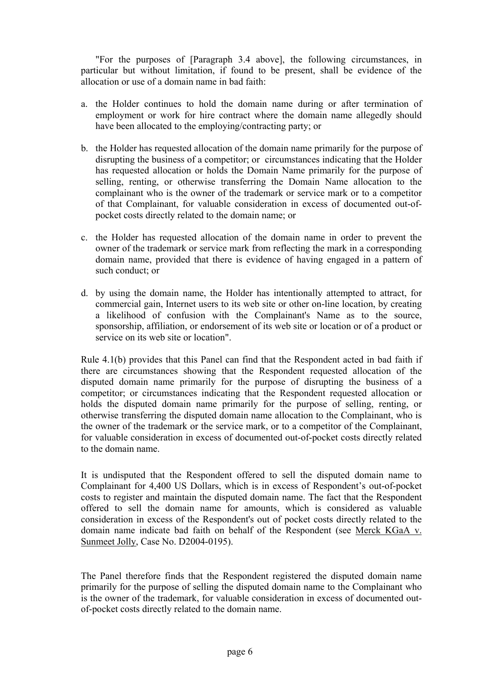"For the purposes of [Paragraph 3.4 above], the following circumstances, in particular but without limitation, if found to be present, shall be evidence of the allocation or use of a domain name in bad faith:

- a. the Holder continues to hold the domain name during or after termination of employment or work for hire contract where the domain name allegedly should have been allocated to the employing/contracting party; or
- b. the Holder has requested allocation of the domain name primarily for the purpose of disrupting the business of a competitor; or circumstances indicating that the Holder has requested allocation or holds the Domain Name primarily for the purpose of selling, renting, or otherwise transferring the Domain Name allocation to the complainant who is the owner of the trademark or service mark or to a competitor of that Complainant, for valuable consideration in excess of documented out-ofpocket costs directly related to the domain name; or
- c. the Holder has requested allocation of the domain name in order to prevent the owner of the trademark or service mark from reflecting the mark in a corresponding domain name, provided that there is evidence of having engaged in a pattern of such conduct; or
- d. by using the domain name, the Holder has intentionally attempted to attract, for commercial gain, Internet users to its web site or other on-line location, by creating a likelihood of confusion with the Complainant's Name as to the source, sponsorship, affiliation, or endorsement of its web site or location or of a product or service on its web site or location".

Rule 4.1(b) provides that this Panel can find that the Respondent acted in bad faith if there are circumstances showing that the Respondent requested allocation of the disputed domain name primarily for the purpose of disrupting the business of a competitor; or circumstances indicating that the Respondent requested allocation or holds the disputed domain name primarily for the purpose of selling, renting, or otherwise transferring the disputed domain name allocation to the Complainant, who is the owner of the trademark or the service mark, or to a competitor of the Complainant, for valuable consideration in excess of documented out-of-pocket costs directly related to the domain name.

It is undisputed that the Respondent offered to sell the disputed domain name to Complainant for 4,400 US Dollars, which is in excess of Respondent's out-of-pocket costs to register and maintain the disputed domain name. The fact that the Respondent offered to sell the domain name for amounts, which is considered as valuable consideration in excess of the Respondent's out of pocket costs directly related to the domain name indicate bad faith on behalf of the Respondent (see Merck KGaA v. Sunmeet Jolly, Case No. D2004-0195).

The Panel therefore finds that the Respondent registered the disputed domain name primarily for the purpose of selling the disputed domain name to the Complainant who is the owner of the trademark, for valuable consideration in excess of documented outof-pocket costs directly related to the domain name.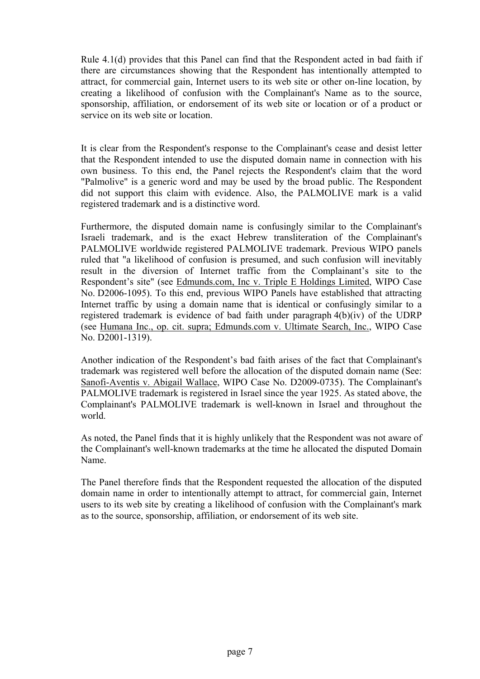Rule 4.1(d) provides that this Panel can find that the Respondent acted in bad faith if there are circumstances showing that the Respondent has intentionally attempted to attract, for commercial gain, Internet users to its web site or other on-line location, by creating a likelihood of confusion with the Complainant's Name as to the source, sponsorship, affiliation, or endorsement of its web site or location or of a product or service on its web site or location.

It is clear from the Respondent's response to the Complainant's cease and desist letter that the Respondent intended to use the disputed domain name in connection with his own business. To this end, the Panel rejects the Respondent's claim that the word "Palmolive" is a generic word and may be used by the broad public. The Respondent did not support this claim with evidence. Also, the PALMOLIVE mark is a valid registered trademark and is a distinctive word.

Furthermore, the disputed domain name is confusingly similar to the Complainant's Israeli trademark, and is the exact Hebrew transliteration of the Complainant's PALMOLIVE worldwide registered PALMOLIVE trademark. Previous WIPO panels ruled that "a likelihood of confusion is presumed, and such confusion will inevitably result in the diversion of Internet traffic from the Complainant's site to the Respondent's site" (see Edmunds.com, Inc v. Triple E Holdings Limited, WIPO Case No. D2006-1095). To this end, previous WIPO Panels have established that attracting Internet traffic by using a domain name that is identical or confusingly similar to a registered trademark is evidence of bad faith under paragraph 4(b)(iv) of the UDRP (see Humana Inc., op. cit. supra; Edmunds.com v. Ultimate Search, Inc., WIPO Case No. D2001-1319).

Another indication of the Respondent's bad faith arises of the fact that Complainant's trademark was registered well before the allocation of the disputed domain name (See: Sanofi-Aventis v. Abigail Wallace, WIPO Case No. D2009-0735). The Complainant's PALMOLIVE trademark is registered in Israel since the year 1925. As stated above, the Complainant's PALMOLIVE trademark is well-known in Israel and throughout the world.

As noted, the Panel finds that it is highly unlikely that the Respondent was not aware of the Complainant's well-known trademarks at the time he allocated the disputed Domain Name.

The Panel therefore finds that the Respondent requested the allocation of the disputed domain name in order to intentionally attempt to attract, for commercial gain, Internet users to its web site by creating a likelihood of confusion with the Complainant's mark as to the source, sponsorship, affiliation, or endorsement of its web site.